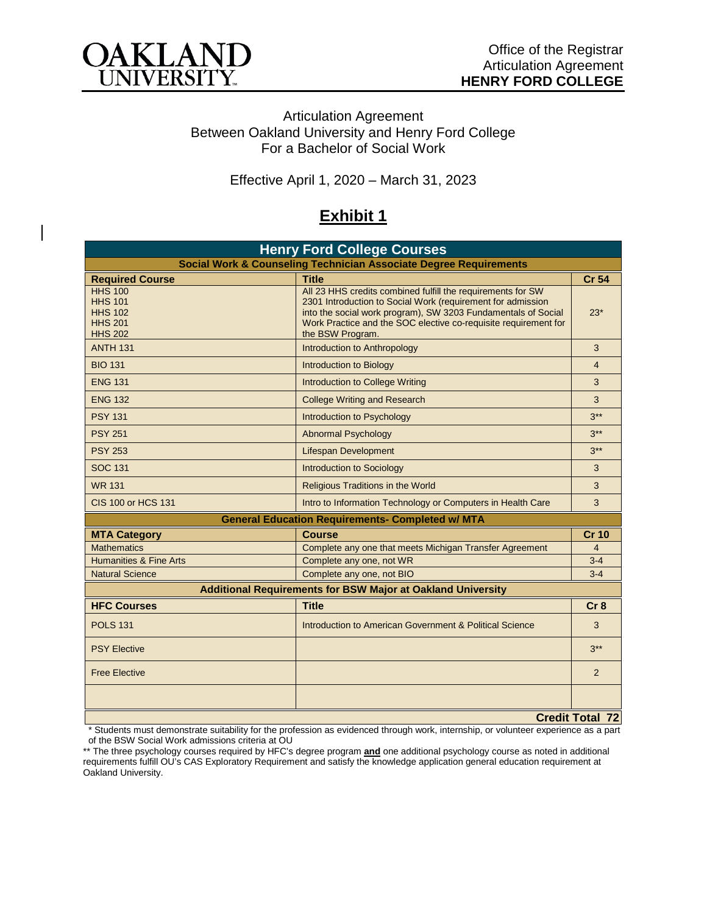

## Articulation Agreement Between Oakland University and Henry Ford College For a Bachelor of Social Work

Effective April 1, 2020 – March 31, 2023

## **Exhibit 1**

| <b>Henry Ford College Courses</b>                                                      |                                                                                                                                                                                                                                                                                    |                 |  |  |
|----------------------------------------------------------------------------------------|------------------------------------------------------------------------------------------------------------------------------------------------------------------------------------------------------------------------------------------------------------------------------------|-----------------|--|--|
| <b>Social Work &amp; Counseling Technician Associate Degree Requirements</b>           |                                                                                                                                                                                                                                                                                    |                 |  |  |
| <b>Required Course</b>                                                                 | <b>Title</b>                                                                                                                                                                                                                                                                       | <b>Cr 54</b>    |  |  |
| <b>HHS 100</b><br><b>HHS 101</b><br><b>HHS 102</b><br><b>HHS 201</b><br><b>HHS 202</b> | All 23 HHS credits combined fulfill the requirements for SW<br>2301 Introduction to Social Work (requirement for admission<br>into the social work program), SW 3203 Fundamentals of Social<br>Work Practice and the SOC elective co-requisite requirement for<br>the BSW Program. |                 |  |  |
| <b>ANTH 131</b>                                                                        | Introduction to Anthropology                                                                                                                                                                                                                                                       |                 |  |  |
| <b>BIO 131</b>                                                                         | <b>Introduction to Biology</b>                                                                                                                                                                                                                                                     |                 |  |  |
| <b>ENG 131</b>                                                                         | Introduction to College Writing                                                                                                                                                                                                                                                    |                 |  |  |
| <b>ENG 132</b>                                                                         | <b>College Writing and Research</b>                                                                                                                                                                                                                                                |                 |  |  |
| <b>PSY 131</b>                                                                         | Introduction to Psychology                                                                                                                                                                                                                                                         |                 |  |  |
| <b>PSY 251</b>                                                                         | <b>Abnormal Psychology</b>                                                                                                                                                                                                                                                         |                 |  |  |
| <b>PSY 253</b>                                                                         | <b>Lifespan Development</b>                                                                                                                                                                                                                                                        |                 |  |  |
| <b>SOC 131</b>                                                                         | <b>Introduction to Sociology</b>                                                                                                                                                                                                                                                   |                 |  |  |
| <b>WR 131</b>                                                                          | <b>Religious Traditions in the World</b>                                                                                                                                                                                                                                           |                 |  |  |
| CIS 100 or HCS 131                                                                     | Intro to Information Technology or Computers in Health Care                                                                                                                                                                                                                        | 3               |  |  |
| <b>General Education Requirements- Completed w/ MTA</b>                                |                                                                                                                                                                                                                                                                                    |                 |  |  |
| <b>MTA Category</b>                                                                    | <b>Course</b>                                                                                                                                                                                                                                                                      | <b>Cr 10</b>    |  |  |
| <b>Mathematics</b>                                                                     | Complete any one that meets Michigan Transfer Agreement                                                                                                                                                                                                                            |                 |  |  |
| <b>Humanities &amp; Fine Arts</b>                                                      | Complete any one, not WR                                                                                                                                                                                                                                                           |                 |  |  |
| <b>Natural Science</b>                                                                 | Complete any one, not BIO                                                                                                                                                                                                                                                          | $3 - 4$         |  |  |
| <b>Additional Requirements for BSW Major at Oakland University</b>                     |                                                                                                                                                                                                                                                                                    |                 |  |  |
| <b>HFC Courses</b>                                                                     | <b>Title</b>                                                                                                                                                                                                                                                                       | Cr <sub>8</sub> |  |  |
| <b>POLS 131</b>                                                                        | Introduction to American Government & Political Science                                                                                                                                                                                                                            | 3               |  |  |
| <b>PSY Elective</b>                                                                    |                                                                                                                                                                                                                                                                                    | $3***$          |  |  |
| <b>Free Elective</b>                                                                   |                                                                                                                                                                                                                                                                                    | 2               |  |  |
|                                                                                        |                                                                                                                                                                                                                                                                                    |                 |  |  |
| <b>Credit Total 72</b>                                                                 |                                                                                                                                                                                                                                                                                    |                 |  |  |

\* Students must demonstrate suitability for the profession as evidenced through work, internship, or volunteer experience as a part of the BSW Social Work admissions criteria at OU

\*\* The three psychology courses required by HFC's degree program **and** one additional psychology course as noted in additional requirements fulfill OU's CAS Exploratory Requirement and satisfy the knowledge application general education requirement at Oakland University.